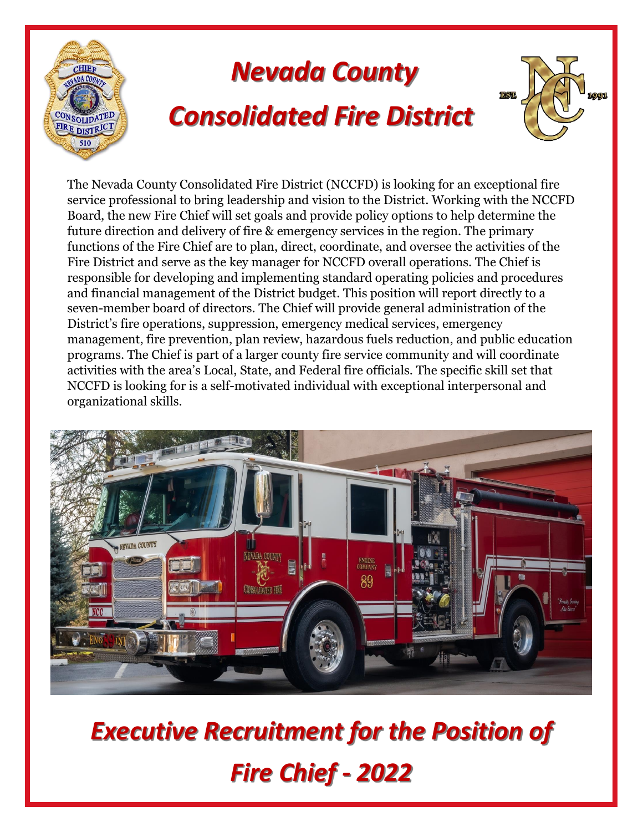

The Nevada County Consolidated Fire District (NCCFD) is looking for an exceptional fire service professional to bring leadership and vision to the District. Working with the NCCFD Board, the new Fire Chief will set goals and provide policy options to help determine the future direction and delivery of fire & emergency services in the region. The primary functions of the Fire Chief are to plan, direct, coordinate, and oversee the activities of the Fire District and serve as the key manager for NCCFD overall operations. The Chief is responsible for developing and implementing standard operating policies and procedures and financial management of the District budget. This position will report directly to a seven-member board of directors. The Chief will provide general administration of the District's fire operations, suppression, emergency medical services, emergency management, fire prevention, plan review, hazardous fuels reduction, and public education programs. The Chief is part of a larger county fire service community and will coordinate activities with the area's Local, State, and Federal fire officials. The specific skill set that NCCFD is looking for is a self-motivated individual with exceptional interpersonal and organizational skills.



*Executive Recruitment for the Position of Fire Chief - 2022*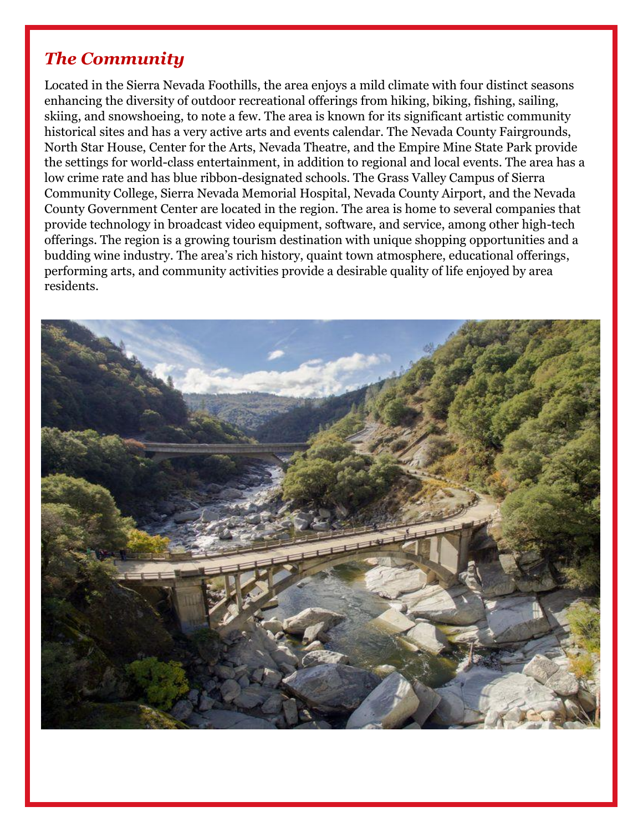# *The Community*

Located in the Sierra Nevada Foothills, the area enjoys a mild climate with four distinct seasons enhancing the diversity of outdoor recreational offerings from hiking, biking, fishing, sailing, skiing, and snowshoeing, to note a few. The area is known for its significant artistic community historical sites and has a very active arts and events calendar. The Nevada County Fairgrounds, North Star House, Center for the Arts, Nevada Theatre, and the Empire Mine State Park provide the settings for world-class entertainment, in addition to regional and local events. The area has a low crime rate and has blue ribbon-designated schools. The Grass Valley Campus of Sierra Community College, Sierra Nevada Memorial Hospital, Nevada County Airport, and the Nevada County Government Center are located in the region. The area is home to several companies that provide technology in broadcast video equipment, software, and service, among other high-tech offerings. The region is a growing tourism destination with unique shopping opportunities and a budding wine industry. The area's rich history, quaint town atmosphere, educational offerings, performing arts, and community activities provide a desirable quality of life enjoyed by area residents.

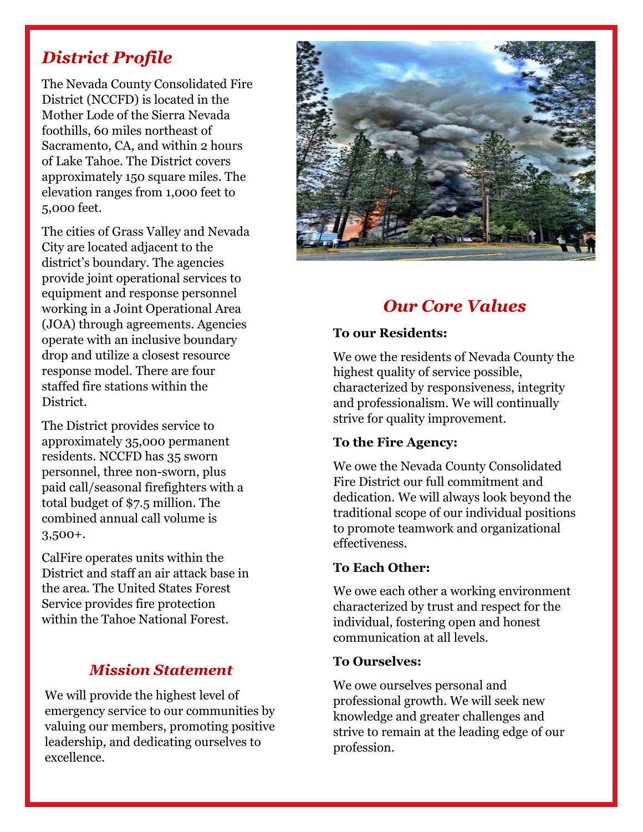# *District Profile*

The Nevada County Consolidated Fire District (NCCFD) is located in the Mother Lode of the Sierra Nevada foothills, 60 miles northeast of Sacramento, CA, and within 2 hours of Lake Tahoe. The District covers approximately 150 square miles. The elevation ranges from 1,000 feet to 5,000 feet.

The cities of Grass Valley and Nevada City are located adjacent to the district's boundary. The agencies provide joint operational services to equipment and response personnel working in a Joint Operational Area (JOA) through agreements. Agencies operate with an inclusive boundary drop and utilize a closest resource response model. There are four staffed fire stations within the District.

The District provides service to approximately 35,000 permanent residents. NCCFD has 35 sworn personnel, three non-sworn, plus paid call/seasonal firefighters with a total budget of \$7.5 million. The combined annual call volume is 3,500+.

CalFire operates units within the District and staff an air attack base in the area. The United States Forest Service provides fire protection within the Tahoe National Forest.

### *Mission Statement*

We will provide the highest level of emergency service to our communities by valuing our members, promoting positive leadership, and dedicating ourselves to excellence.



# *Our Core Values*

#### **To our Residents:**

We owe the residents of Nevada County the highest quality of service possible, characterized by responsiveness, integrity and professionalism. We will continually strive for quality improvement.

### **To the Fire Agency:**

We owe the Nevada County Consolidated Fire District our full commitment and dedication. We will always look beyond the traditional scope of our individual positions to promote teamwork and organizational effectiveness.

#### **To Each Other:**

We owe each other a working environment characterized by trust and respect for the individual, fostering open and honest communication at all levels.

#### **To Ourselves:**

We owe ourselves personal and professional growth. We will seek new knowledge and greater challenges and strive to remain at the leading edge of our profession.